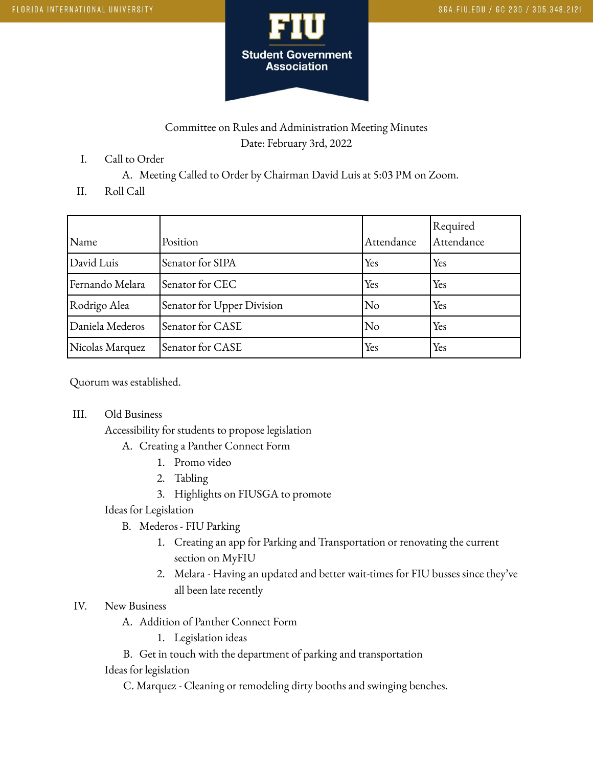

# Committee on Rules and Administration Meeting Minutes Date: February 3rd, 2022

- I. Call to Order
	- A. Meeting Called to Order by Chairman David Luis at 5:03 PM on Zoom.
- II. Roll Call

| Name            | Position                   | Attendance     | Required<br>Attendance |
|-----------------|----------------------------|----------------|------------------------|
| David Luis      | Senator for SIPA           | Yes            | Yes                    |
| Fernando Melara | Senator for CEC            | Yes            | Yes                    |
| Rodrigo Alea    | Senator for Upper Division | N <sub>o</sub> | Yes                    |
| Daniela Mederos | Senator for CASE           | No             | Yes                    |
| Nicolas Marquez | Senator for CASE           | Yes            | Yes                    |

Quorum was established.

III. Old Business

Accessibility for students to propose legislation

- A. Creating a Panther Connect Form
	- 1. Promo video
	- 2. Tabling
	- 3. Highlights on FIUSGA to promote

### Ideas for Legislation

- B. Mederos FIU Parking
	- 1. Creating an app for Parking and Transportation or renovating the current section on MyFIU
	- 2. Melara Having an updated and better wait-times for FIU busses since they've all been late recently

### IV. New Business

A. Addition of Panther Connect Form

1. Legislation ideas

B. Get in touch with the department of parking and transportation

### Ideas for legislation

C. Marquez - Cleaning or remodeling dirty booths and swinging benches.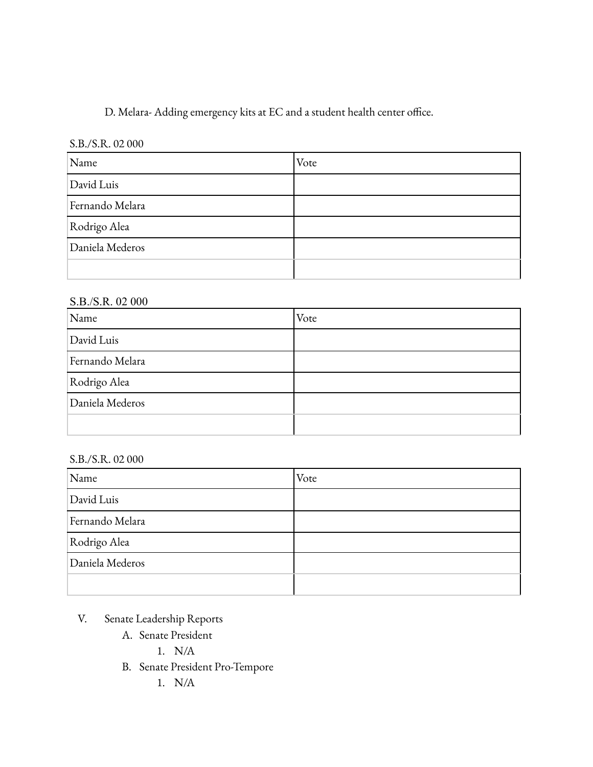D. Melara- Adding emergency kits at EC and a student health center office.

## S.B./S.R. 02 000

| Name            | Vote |
|-----------------|------|
| David Luis      |      |
| Fernando Melara |      |
| Rodrigo Alea    |      |
| Daniela Mederos |      |
|                 |      |

## S.B./S.R. 02 000

| Name            | Vote |
|-----------------|------|
| David Luis      |      |
| Fernando Melara |      |
| Rodrigo Alea    |      |
| Daniela Mederos |      |
|                 |      |

## S.B./S.R. 02 000

| Name            | Vote |
|-----------------|------|
| David Luis      |      |
| Fernando Melara |      |
| Rodrigo Alea    |      |
| Daniela Mederos |      |
|                 |      |

- V. Senate Leadership Reports
	- A. Senate President
		- 1. N/A
	- B. Senate President Pro-Tempore
		- 1. N/A